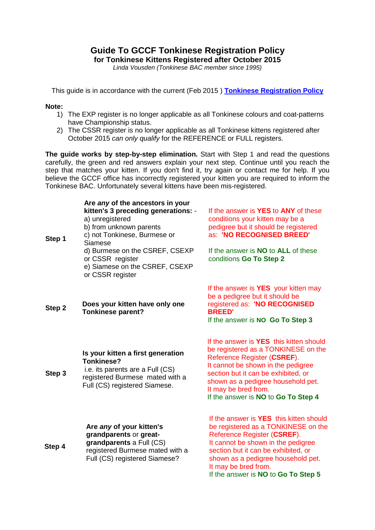## **Guide To GCCF Tonkinese Registration Policy for Tonkinese Kittens Registered after October 2015**

*Linda Vousden (Tonkinese BAC member since 1995)*

This guide is in accordance with the current (Feb 2015 ) **[Tonkinese Registration Policy](http://www.tonkinese.me/tonkinese-registration-policy.html)**

## **Note:**

- 1) The EXP register is no longer applicable as all Tonkinese colours and coat-patterns have Championship status.
- 2) The CSSR register is no longer applicable as all Tonkinese kittens registered after October 2015 *can only qualify* for the REFERENCE or FULL registers.

**The guide works by step-by-step elimination.** Start with Step 1 and read the questions carefully, the green and red answers explain your next step. Continue until you reach the step that matches your kitten. If you don't find it, try again or contact me for help. If you believe the GCCF office has incorrectly registered your kitten you are required to inform the Tonkinese BAC. Unfortunately several kittens have been mis-registered.

| Step 1 | Are any of the ancestors in your<br>kitten's 3 preceding generations: -<br>a) unregistered<br>b) from unknown parents<br>c) not Tonkinese, Burmese or<br>Siamese<br>d) Burmese on the CSREF, CSEXP<br>or CSSR register<br>e) Siamese on the CSREF, CSEXP<br>or CSSR register | If the answer is <b>YES</b> to <b>ANY</b> of these<br>conditions your kitten may be a<br>pedigree but it should be registered<br>as: 'NO RECOGNISED BREED'<br>If the answer is <b>NO</b> to <b>ALL</b> of these<br>conditions Go To Step 2                                                             |
|--------|------------------------------------------------------------------------------------------------------------------------------------------------------------------------------------------------------------------------------------------------------------------------------|--------------------------------------------------------------------------------------------------------------------------------------------------------------------------------------------------------------------------------------------------------------------------------------------------------|
| Step 2 | Does your kitten have only one<br><b>Tonkinese parent?</b>                                                                                                                                                                                                                   | If the answer is <b>YES</b> your kitten may<br>be a pedigree but it should be<br>registered as: 'NO RECOGNISED<br><b>BREED'</b><br>If the answer is NO Go To Step 3                                                                                                                                    |
| Step 3 | Is your kitten a first generation<br><b>Tonkinese?</b><br>i.e. its parents are a Full (CS)<br>registered Burmese mated with a<br>Full (CS) registered Siamese.                                                                                                               | If the answer is <b>YES</b> this kitten should<br>be registered as a TONKINESE on the<br>Reference Register (CSREF).<br>It cannot be shown in the pedigree<br>section but it can be exhibited, or<br>shown as a pedigree household pet.<br>It may be bred from.<br>If the answer is NO to Go To Step 4 |
| Step 4 | Are any of your kitten's<br>grandparents or great-<br>grandparents a Full (CS)<br>registered Burmese mated with a<br>Full (CS) registered Siamese?                                                                                                                           | If the answer is <b>YES</b> this kitten should<br>be registered as a TONKINESE on the<br>Reference Register (CSREF).<br>It cannot be shown in the pedigree<br>section but it can be exhibited, or<br>shown as a pedigree household pet.                                                                |

It may be bred from.

If the answer is **NO** to **Go To Step 5**